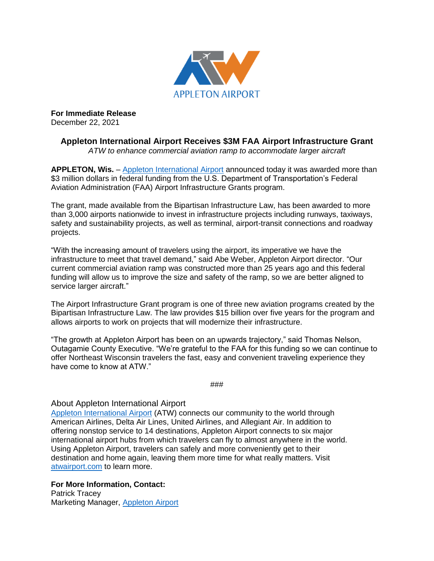

**For Immediate Release** December 22, 2021

> **Appleton International Airport Receives \$3M FAA Airport Infrastructure Grant** *ATW to enhance commercial aviation ramp to accommodate larger aircraft*

**APPLETON, Wis.** – [Appleton International Airport](https://atwairport.com/) announced today it was awarded more than \$3 million dollars in federal funding from the U.S. Department of Transportation's Federal Aviation Administration (FAA) Airport Infrastructure Grants program.

The grant, made available from the Bipartisan Infrastructure Law, has been awarded to more than 3,000 airports nationwide to invest in infrastructure projects including runways, taxiways, safety and sustainability projects, as well as terminal, airport-transit connections and roadway projects.

"With the increasing amount of travelers using the airport, its imperative we have the infrastructure to meet that travel demand," said Abe Weber, Appleton Airport director. "Our current commercial aviation ramp was constructed more than 25 years ago and this federal funding will allow us to improve the size and safety of the ramp, so we are better aligned to service larger aircraft."

The Airport Infrastructure Grant program is one of three new aviation programs created by the Bipartisan Infrastructure Law. The law provides \$15 billion over five years for the program and allows airports to work on projects that will modernize their infrastructure.

"The growth at Appleton Airport has been on an upwards trajectory," said Thomas Nelson, Outagamie County Executive. "We're grateful to the FAA for this funding so we can continue to offer Northeast Wisconsin travelers the fast, easy and convenient traveling experience they have come to know at ATW."

###

## About Appleton International Airport

[Appleton International Airport](https://atwairport.com/) (ATW) connects our community to the world through American Airlines, Delta Air Lines, United Airlines, and Allegiant Air. In addition to offering nonstop service to 14 destinations, Appleton Airport connects to six major international airport hubs from which travelers can fly to almost anywhere in the world. Using Appleton Airport, travelers can safely and more conveniently get to their destination and home again, leaving them more time for what really matters. Visit [atwairport.com](https://atwairport.com/) to learn more.

## **For More Information, Contact:**

Patrick Tracey Marketing Manager, [Appleton Airport](http://www.atwairport.com/)